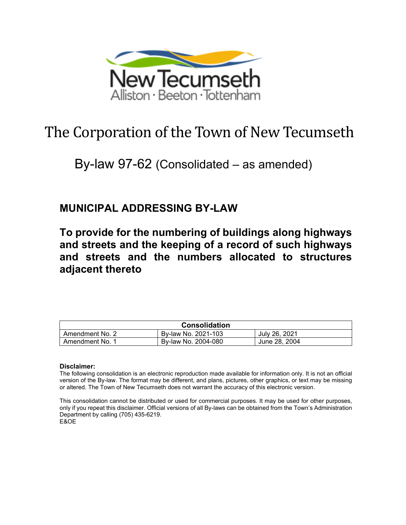

# The Corporation of the Town of New Tecumseth

## By-law 97-62 (Consolidated – as amended)

## **MUNICIPAL ADDRESSING BY-LAW**

**To provide for the numbering of buildings along highways and streets and the keeping of a record of such highways and streets and the numbers allocated to structures adjacent thereto**

| <b>Consolidation</b> |                     |               |
|----------------------|---------------------|---------------|
| Amendment No. 2      | By-law No. 2021-103 | July 26, 2021 |
| Amendment No.        | By-law No. 2004-080 | June 28, 2004 |

#### **Disclaimer:**

The following consolidation is an electronic reproduction made available for information only. It is not an official version of the By-law. The format may be different, and plans, pictures, other graphics, or text may be missing or altered. The Town of New Tecumseth does not warrant the accuracy of this electronic version.

This consolidation cannot be distributed or used for commercial purposes. It may be used for other purposes, only if you repeat this disclaimer. Official versions of all By-laws can be obtained from the Town's Administration Department by calling (705) 435-6219. E&OE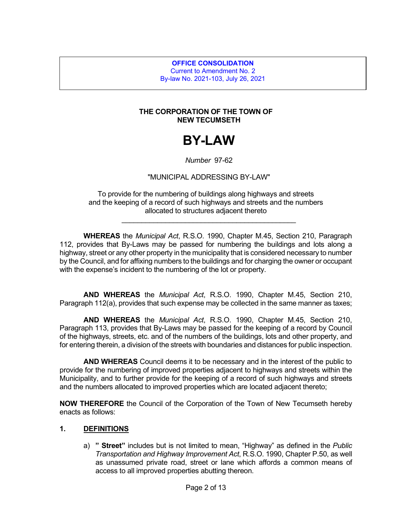**OFFICE CONSOLIDATION** Current to Amendment No. 2 By-law No. 2021-103, July 26, 2021

#### **THE CORPORATION OF THE TOWN OF NEW TECUMSETH**

## **BY-LAW**

#### *Number* 97-62

#### "MUNICIPAL ADDRESSING BY-LAW"

To provide for the numbering of buildings along highways and streets and the keeping of a record of such highways and streets and the numbers allocated to structures adjacent thereto

\_\_\_\_\_\_\_\_\_\_\_\_\_\_\_\_\_\_\_\_\_\_\_\_\_\_\_\_\_\_\_\_\_\_\_\_\_\_\_\_\_\_\_\_

**WHEREAS** the *Municipal Act*, R.S.O. 1990, Chapter M.45, Section 210, Paragraph 112, provides that By-Laws may be passed for numbering the buildings and lots along a highway, street or any other property in the municipality that is considered necessary to number by the Council, and for affixing numbers to the buildings and for charging the owner or occupant with the expense's incident to the numbering of the lot or property.

**AND WHEREAS** the *Municipal Act*, R.S.O. 1990, Chapter M.45, Section 210, Paragraph 112(a), provides that such expense may be collected in the same manner as taxes;

**AND WHEREAS** the *Municipal Act*, R.S.O. 1990, Chapter M.45, Section 210, Paragraph 113, provides that By-Laws may be passed for the keeping of a record by Council of the highways, streets, etc. and of the numbers of the buildings, lots and other property, and for entering therein, a division of the streets with boundaries and distances for public inspection.

**AND WHEREAS** Council deems it to be necessary and in the interest of the public to provide for the numbering of improved properties adjacent to highways and streets within the Municipality, and to further provide for the keeping of a record of such highways and streets and the numbers allocated to improved properties which are located adjacent thereto;

**NOW THEREFORE** the Council of the Corporation of the Town of New Tecumseth hereby enacts as follows:

#### **1. DEFINITIONS**

a) **" Street"** includes but is not limited to mean, "Highway" as defined in the *Public Transportation and Highway Improvement Act*, R.S.O. 1990, Chapter P.50, as well as unassumed private road, street or lane which affords a common means of access to all improved properties abutting thereon.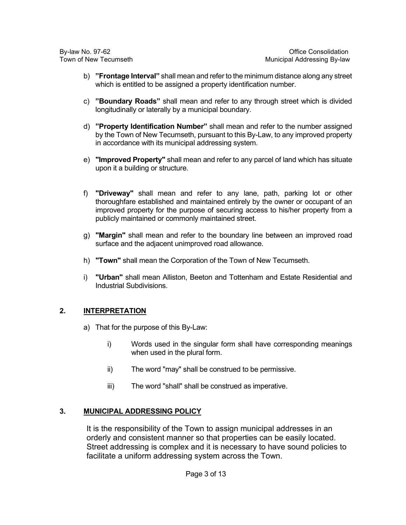- b) **"Frontage Interval"** shall mean and refer to the minimum distance along any street which is entitled to be assigned a property identification number.
- c) **"Boundary Roads"** shall mean and refer to any through street which is divided longitudinally or laterally by a municipal boundary.
- d) **"Property Identification Number"** shall mean and refer to the number assigned by the Town of New Tecumseth, pursuant to this By-Law, to any improved property in accordance with its municipal addressing system.
- e) **"Improved Property"** shall mean and refer to any parcel of land which has situate upon it a building or structure.
- f) **"Driveway"** shall mean and refer to any lane, path, parking lot or other thoroughfare established and maintained entirely by the owner or occupant of an improved property for the purpose of securing access to his/her property from a publicly maintained or commonly maintained street.
- g) **"Margin"** shall mean and refer to the boundary line between an improved road surface and the adjacent unimproved road allowance.
- h) **"Town"** shall mean the Corporation of the Town of New Tecumseth.
- i) **"Urban"** shall mean Alliston, Beeton and Tottenham and Estate Residential and Industrial Subdivisions.

## **2. INTERPRETATION**

- a) That for the purpose of this By-Law:
	- i) Words used in the singular form shall have corresponding meanings when used in the plural form.
	- ii) The word "may" shall be construed to be permissive.
	- iii) The word "shall" shall be construed as imperative.

## **3. MUNICIPAL ADDRESSING POLICY**

It is the responsibility of the Town to assign municipal addresses in an orderly and consistent manner so that properties can be easily located. Street addressing is complex and it is necessary to have sound policies to facilitate a uniform addressing system across the Town.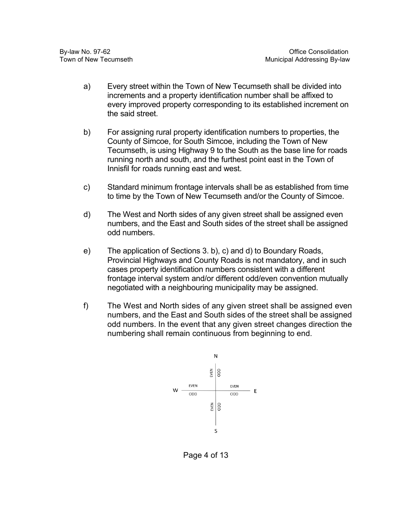- a) Every street within the Town of New Tecumseth shall be divided into increments and a property identification number shall be affixed to every improved property corresponding to its established increment on the said street.
- b) For assigning rural property identification numbers to properties, the County of Simcoe, for South Simcoe, including the Town of New Tecumseth, is using Highway 9 to the South as the base line for roads running north and south, and the furthest point east in the Town of Innisfil for roads running east and west.
- c) Standard minimum frontage intervals shall be as established from time to time by the Town of New Tecumseth and/or the County of Simcoe.
- d) The West and North sides of any given street shall be assigned even numbers, and the East and South sides of the street shall be assigned odd numbers.
- e) The application of Sections 3. b), c) and d) to Boundary Roads, Provincial Highways and County Roads is not mandatory, and in such cases property identification numbers consistent with a different frontage interval system and/or different odd/even convention mutually negotiated with a neighbouring municipality may be assigned.
- f) The West and North sides of any given street shall be assigned even numbers, and the East and South sides of the street shall be assigned odd numbers. In the event that any given street changes direction the numbering shall remain continuous from beginning to end.



Page 4 of 13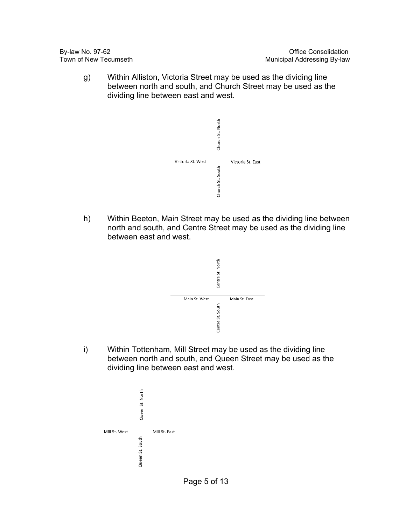g) Within Alliston, Victoria Street may be used as the dividing line between north and south, and Church Street may be used as the dividing line between east and west.



h) Within Beeton, Main Street may be used as the dividing line between north and south, and Centre Street may be used as the dividing line between east and west.



i) Within Tottenham, Mill Street may be used as the dividing line between north and south, and Queen Street may be used as the dividing line between east and west.

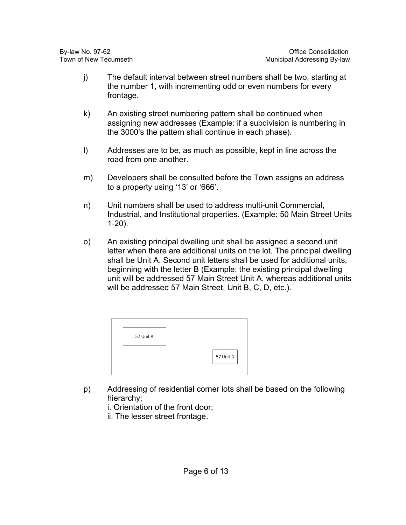- j) The default interval between street numbers shall be two, starting at the number 1, with incrementing odd or even numbers for every frontage.
- k) An existing street numbering pattern shall be continued when assigning new addresses (Example: if a subdivision is numbering in the 3000's the pattern shall continue in each phase).
- l) Addresses are to be, as much as possible, kept in line across the road from one another.
- m) Developers shall be consulted before the Town assigns an address to a property using '13' or '666'.
- n) Unit numbers shall be used to address multi-unit Commercial, Industrial, and Institutional properties. (Example: 50 Main Street Units 1-20).
- o) An existing principal dwelling unit shall be assigned a second unit letter when there are additional units on the lot. The principal dwelling shall be Unit A. Second unit letters shall be used for additional units, beginning with the letter B (Example: the existing principal dwelling unit will be addressed 57 Main Street Unit A, whereas additional units will be addressed 57 Main Street, Unit B, C, D, etc.).

| 57 Unit B |
|-----------|

- p) Addressing of residential corner lots shall be based on the following hierarchy;
	- i. Orientation of the front door;
	- ii. The lesser street frontage.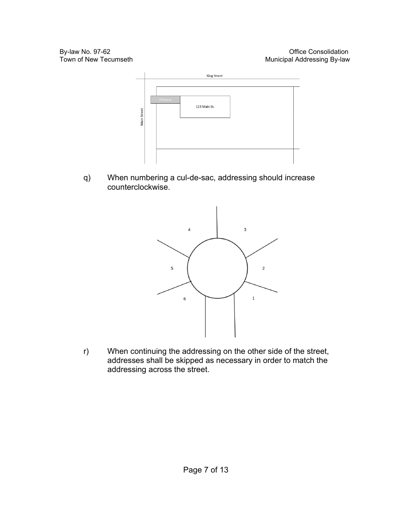

q) When numbering a cul-de-sac, addressing should increase counterclockwise.



r) When continuing the addressing on the other side of the street, addresses shall be skipped as necessary in order to match the addressing across the street.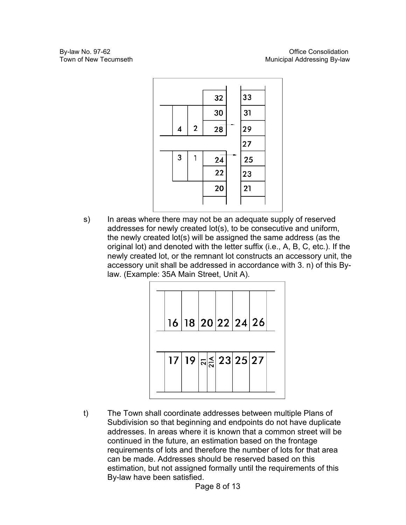

s) In areas where there may not be an adequate supply of reserved addresses for newly created lot(s), to be consecutive and uniform, the newly created lot(s) will be assigned the same address (as the original lot) and denoted with the letter suffix (i.e., A, B, C, etc.). If the newly created lot, or the remnant lot constructs an accessory unit, the accessory unit shall be addressed in accordance with 3. n) of this Bylaw. (Example: 35A Main Street, Unit A).



t) The Town shall coordinate addresses between multiple Plans of Subdivision so that beginning and endpoints do not have duplicate addresses. In areas where it is known that a common street will be continued in the future, an estimation based on the frontage requirements of lots and therefore the number of lots for that area can be made. Addresses should be reserved based on this estimation, but not assigned formally until the requirements of this By-law have been satisfied.

Page 8 of 13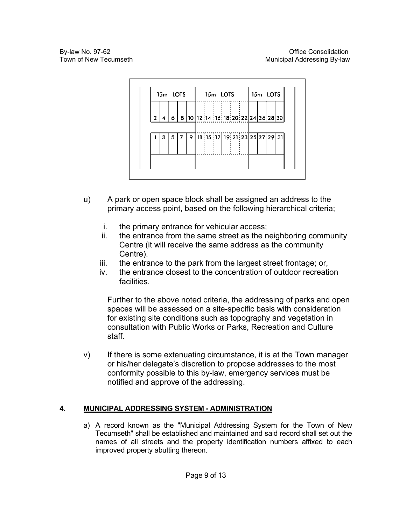

- u) A park or open space block shall be assigned an address to the primary access point, based on the following hierarchical criteria;
	- i. the primary entrance for vehicular access;
	- ii. the entrance from the same street as the neighboring community Centre (it will receive the same address as the community Centre).
	- iii. the entrance to the park from the largest street frontage; or,
	- iv. the entrance closest to the concentration of outdoor recreation facilities.

Further to the above noted criteria, the addressing of parks and open spaces will be assessed on a site-specific basis with consideration for existing site conditions such as topography and vegetation in consultation with Public Works or Parks, Recreation and Culture staff.

 $v$ ) If there is some extenuating circumstance, it is at the Town manager or his/her delegate's discretion to propose addresses to the most conformity possible to this by-law, emergency services must be notified and approve of the addressing.

## **4. MUNICIPAL ADDRESSING SYSTEM - ADMINISTRATION**

a) A record known as the "Municipal Addressing System for the Town of New Tecumseth" shall be established and maintained and said record shall set out the names of all streets and the property identification numbers affixed to each improved property abutting thereon.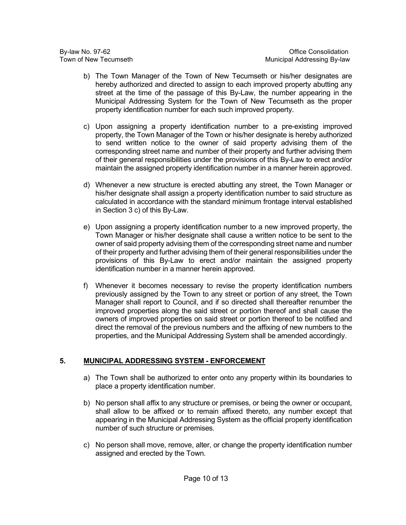- b) The Town Manager of the Town of New Tecumseth or his/her designates are hereby authorized and directed to assign to each improved property abutting any street at the time of the passage of this By-Law, the number appearing in the Municipal Addressing System for the Town of New Tecumseth as the proper property identification number for each such improved property.
- c) Upon assigning a property identification number to a pre-existing improved property, the Town Manager of the Town or his/her designate is hereby authorized to send written notice to the owner of said property advising them of the corresponding street name and number of their property and further advising them of their general responsibilities under the provisions of this By-Law to erect and/or maintain the assigned property identification number in a manner herein approved.
- d) Whenever a new structure is erected abutting any street, the Town Manager or his/her designate shall assign a property identification number to said structure as calculated in accordance with the standard minimum frontage interval established in Section 3 c) of this By-Law.
- e) Upon assigning a property identification number to a new improved property, the Town Manager or his/her designate shall cause a written notice to be sent to the owner of said property advising them of the corresponding street name and number of their property and further advising them of their general responsibilities under the provisions of this By-Law to erect and/or maintain the assigned property identification number in a manner herein approved.
- f) Whenever it becomes necessary to revise the property identification numbers previously assigned by the Town to any street or portion of any street, the Town Manager shall report to Council, and if so directed shall thereafter renumber the improved properties along the said street or portion thereof and shall cause the owners of improved properties on said street or portion thereof to be notified and direct the removal of the previous numbers and the affixing of new numbers to the properties, and the Municipal Addressing System shall be amended accordingly.

## **5. MUNICIPAL ADDRESSING SYSTEM - ENFORCEMENT**

- a) The Town shall be authorized to enter onto any property within its boundaries to place a property identification number.
- b) No person shall affix to any structure or premises, or being the owner or occupant, shall allow to be affixed or to remain affixed thereto, any number except that appearing in the Municipal Addressing System as the official property identification number of such structure or premises.
- c) No person shall move, remove, alter, or change the property identification number assigned and erected by the Town.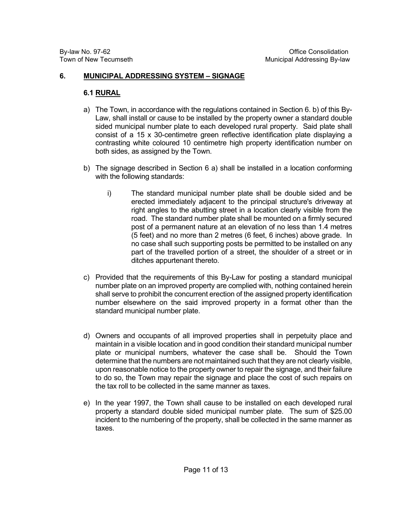### **6. MUNICIPAL ADDRESSING SYSTEM – SIGNAGE**

### **6.1 RURAL**

- a) The Town, in accordance with the regulations contained in Section 6. b) of this By-Law, shall install or cause to be installed by the property owner a standard double sided municipal number plate to each developed rural property. Said plate shall consist of a 15 x 30-centimetre green reflective identification plate displaying a contrasting white coloured 10 centimetre high property identification number on both sides, as assigned by the Town.
- b) The signage described in Section 6 a) shall be installed in a location conforming with the following standards:
	- i) The standard municipal number plate shall be double sided and be erected immediately adjacent to the principal structure's driveway at right angles to the abutting street in a location clearly visible from the road. The standard number plate shall be mounted on a firmly secured post of a permanent nature at an elevation of no less than 1.4 metres (5 feet) and no more than 2 metres (6 feet, 6 inches) above grade. In no case shall such supporting posts be permitted to be installed on any part of the travelled portion of a street, the shoulder of a street or in ditches appurtenant thereto.
- c) Provided that the requirements of this By-Law for posting a standard municipal number plate on an improved property are complied with, nothing contained herein shall serve to prohibit the concurrent erection of the assigned property identification number elsewhere on the said improved property in a format other than the standard municipal number plate.
- d) Owners and occupants of all improved properties shall in perpetuity place and maintain in a visible location and in good condition their standard municipal number plate or municipal numbers, whatever the case shall be. Should the Town determine that the numbers are not maintained such that they are not clearly visible, upon reasonable notice to the property owner to repair the signage, and their failure to do so, the Town may repair the signage and place the cost of such repairs on the tax roll to be collected in the same manner as taxes.
- e) In the year 1997, the Town shall cause to be installed on each developed rural property a standard double sided municipal number plate. The sum of \$25.00 incident to the numbering of the property, shall be collected in the same manner as taxes.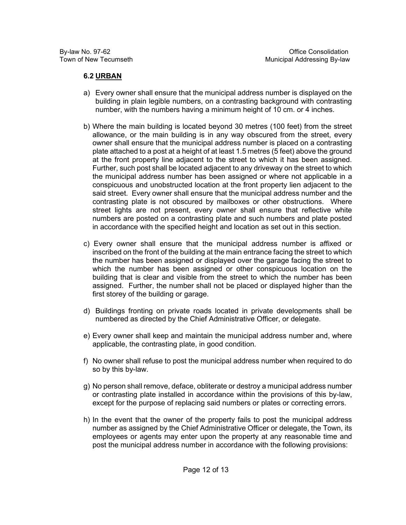## **6.2 URBAN**

- a) Every owner shall ensure that the municipal address number is displayed on the building in plain legible numbers, on a contrasting background with contrasting number, with the numbers having a minimum height of 10 cm. or 4 inches.
- b) Where the main building is located beyond 30 metres (100 feet) from the street allowance, or the main building is in any way obscured from the street, every owner shall ensure that the municipal address number is placed on a contrasting plate attached to a post at a height of at least 1.5 metres (5 feet) above the ground at the front property line adjacent to the street to which it has been assigned. Further, such post shall be located adjacent to any driveway on the street to which the municipal address number has been assigned or where not applicable in a conspicuous and unobstructed location at the front property lien adjacent to the said street. Every owner shall ensure that the municipal address number and the contrasting plate is not obscured by mailboxes or other obstructions. Where street lights are not present, every owner shall ensure that reflective white numbers are posted on a contrasting plate and such numbers and plate posted in accordance with the specified height and location as set out in this section.
- c) Every owner shall ensure that the municipal address number is affixed or inscribed on the front of the building at the main entrance facing the street to which the number has been assigned or displayed over the garage facing the street to which the number has been assigned or other conspicuous location on the building that is clear and visible from the street to which the number has been assigned. Further, the number shall not be placed or displayed higher than the first storey of the building or garage.
- d) Buildings fronting on private roads located in private developments shall be numbered as directed by the Chief Administrative Officer, or delegate.
- e) Every owner shall keep and maintain the municipal address number and, where applicable, the contrasting plate, in good condition.
- f) No owner shall refuse to post the municipal address number when required to do so by this by-law.
- g) No person shall remove, deface, obliterate or destroy a municipal address number or contrasting plate installed in accordance within the provisions of this by-law, except for the purpose of replacing said numbers or plates or correcting errors.
- h) In the event that the owner of the property fails to post the municipal address number as assigned by the Chief Administrative Officer or delegate, the Town, its employees or agents may enter upon the property at any reasonable time and post the municipal address number in accordance with the following provisions: